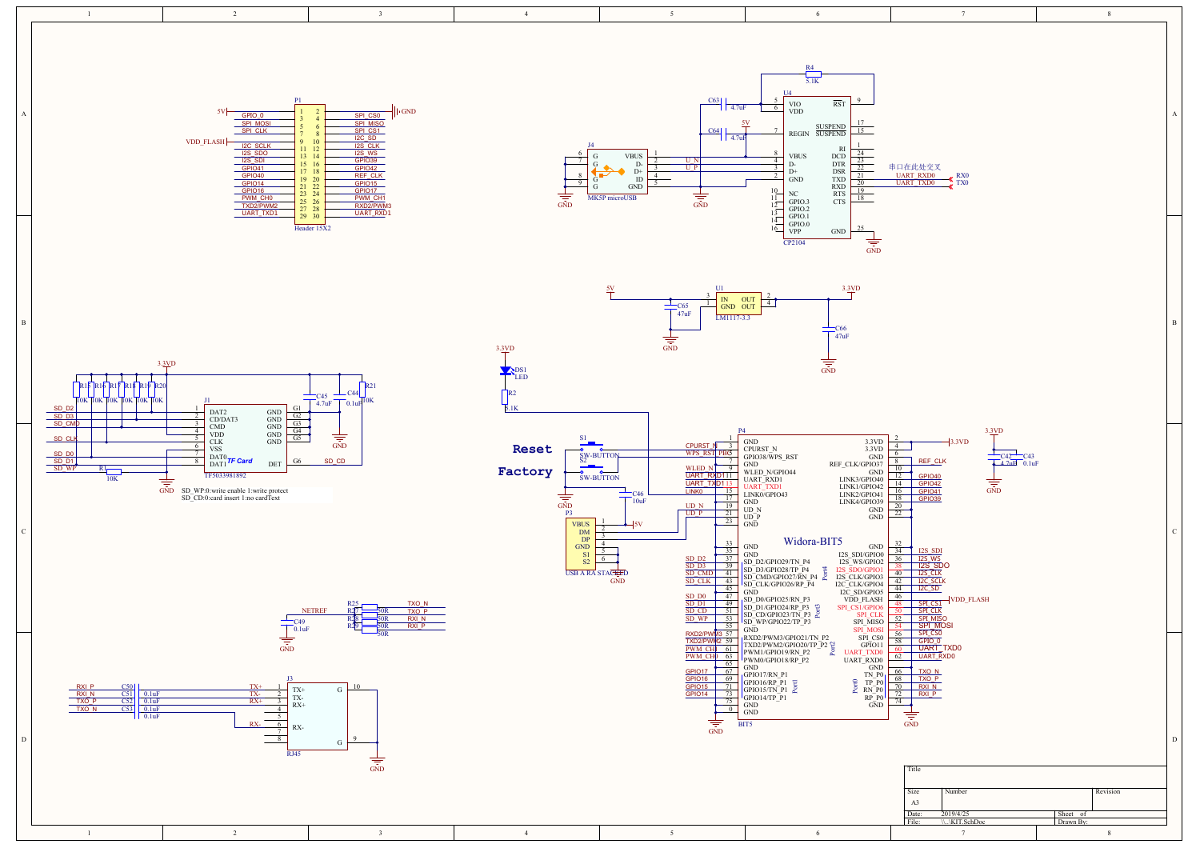